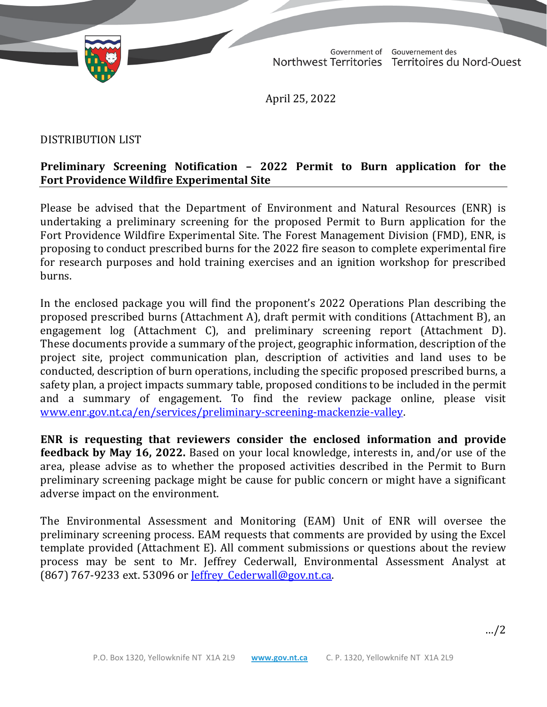

Government of Gouvernement des Northwest Territories Territoires du Nord-Ouest

April 25, 2022

## DISTRIBUTION LIST

## **Preliminary Screening Notification – 2022 Permit to Burn application for the Fort Providence Wildfire Experimental Site**

Please be advised that the Department of Environment and Natural Resources (ENR) is undertaking a preliminary screening for the proposed Permit to Burn application for the Fort Providence Wildfire Experimental Site. The Forest Management Division (FMD), ENR, is proposing to conduct prescribed burns for the 2022 fire season to complete experimental fire for research purposes and hold training exercises and an ignition workshop for prescribed burns.

In the enclosed package you will find the proponent's 2022 Operations Plan describing the proposed prescribed burns (Attachment A), draft permit with conditions (Attachment B), an engagement log (Attachment C), and preliminary screening report (Attachment D). These documents provide a summary of the project, geographic information, description of the project site, project communication plan, description of activities and land uses to be conducted, description of burn operations, including the specific proposed prescribed burns, a safety plan, a project impacts summary table, proposed conditions to be included in the permit and a summary of engagement. To find the review package online, please visit [www.enr.gov.nt.ca/en/services/preliminary-screening-mackenzie-valley.](http://www.enr.gov.nt.ca/en/services/preliminary-screening-mackenzie-valley)

**ENR is requesting that reviewers consider the enclosed information and provide feedback by May 16, 2022.** Based on your local knowledge, interests in, and/or use of the area, please advise as to whether the proposed activities described in the Permit to Burn preliminary screening package might be cause for public concern or might have a significant adverse impact on the environment.

The Environmental Assessment and Monitoring (EAM) Unit of ENR will oversee the preliminary screening process. EAM requests that comments are provided by using the Excel template provided (Attachment E). All comment submissions or questions about the review process may be sent to Mr. Jeffrey Cederwall, Environmental Assessment Analyst at (867) 767-9233 ext. 53096 or [Jeffrey\\_Cederwall@gov.nt.ca.](mailto:Jeffrey_Cederwall@gov.nt.ca)

…/2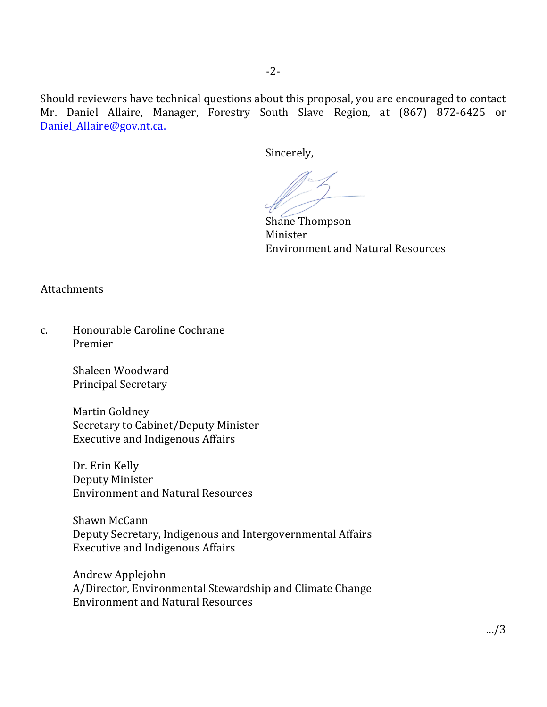Should reviewers have technical questions about this proposal, you are encouraged to contact Mr. Daniel Allaire, Manager, Forestry South Slave Region, at (867) 872-6425 or Daniel Allaire@gov.nt.ca.

Sincerely,

Shane Thompson<br>Minister Minister Environment and Natural Resources

Attachments

c. Honourable Caroline Cochrane Premier

> Shaleen Woodward Principal Secretary

Martin Goldney Secretary to Cabinet/Deputy Minister Executive and Indigenous Affairs

Dr. Erin Kelly Deputy Minister Environment and Natural Resources

Shawn McCann Deputy Secretary, Indigenous and Intergovernmental Affairs Executive and Indigenous Affairs

Andrew Applejohn A/Director, Environmental Stewardship and Climate Change Environment and Natural Resources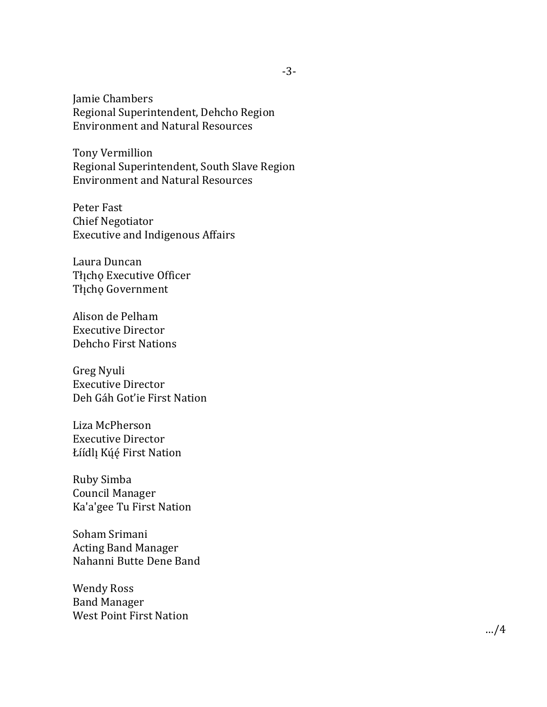Jamie Chambers Regional Superintendent, Dehcho Region Environment and Natural Resources

Tony Vermillion Regional Superintendent, South Slave Region Environment and Natural Resources

Peter Fast Chief Negotiator Executive and Indigenous Affairs

Laura Duncan Thcho Executive Officer Tłįcho Government

Alison de Pelham Executive Director Dehcho First Nations

Greg Nyuli Executive Director Deh Gáh Got'ie First Nation

Liza McPherson Executive Director Łíídlį Kúę́ First Nation

Ruby Simba Council Manager Ka'a'gee Tu First Nation

Soham Srimani Acting Band Manager Nahanni Butte Dene Band

Wendy Ross Band Manager West Point First Nation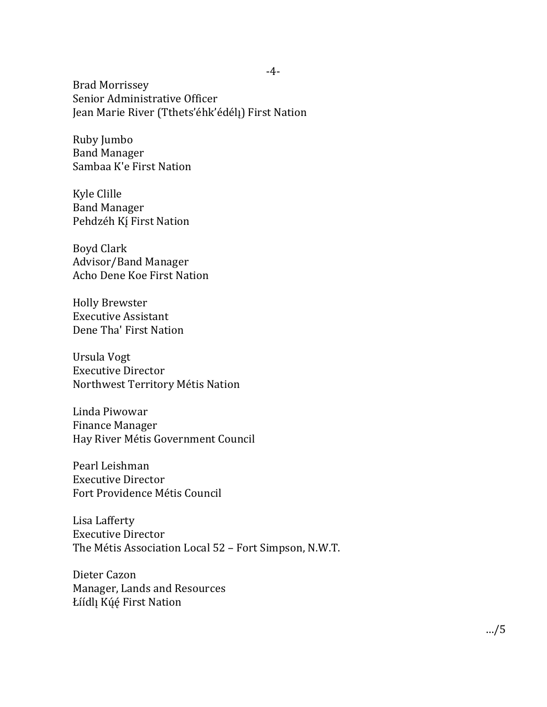Brad Morrissey Senior Administrative Officer Jean Marie River (Tthets'éhk'édél!) First Nation

Ruby Jumbo Band Manager Sambaa K'e First Nation

Kyle Clille Band Manager Pehdzéh Kí First Nation

Boyd Clark Advisor/Band Manager Acho Dene Koe First Nation

Holly Brewster Executive Assistant Dene Tha' First Nation

Ursula Vogt Executive Director Northwest Territory Métis Nation

Linda Piwowar Finance Manager Hay River Métis Government Council

Pearl Leishman Executive Director Fort Providence Métis Council

Lisa Lafferty Executive Director The Métis Association Local 52 – Fort Simpson, N.W.T.

Dieter Cazon Manager, Lands and Resources Łíídlį Kúę́ First Nation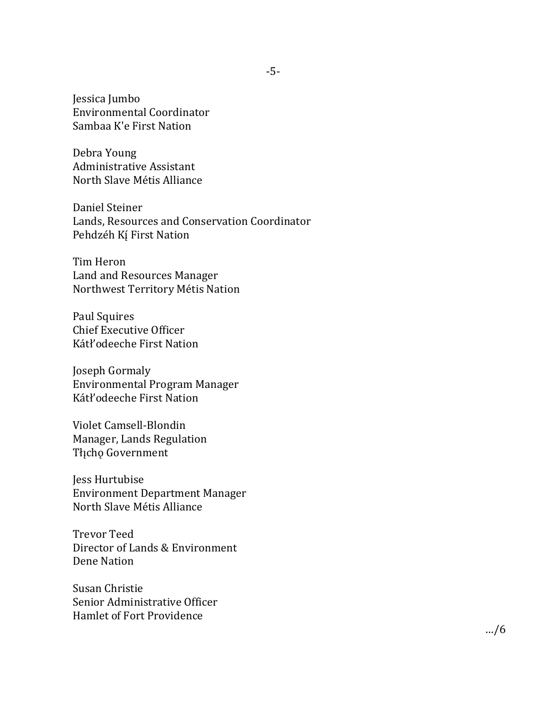Jessica Jumbo Environmental Coordinator Sambaa K'e First Nation

Debra Young Administrative Assistant North Slave Métis Alliance

Daniel Steiner Lands, Resources and Conservation Coordinator Pehdzéh Kí First Nation

Tim Heron Land and Resources Manager Northwest Territory Métis Nation

Paul Squires Chief Executive Officer Kátł'odeeche First Nation

Joseph Gormaly Environmental Program Manager Kátł'odeeche First Nation

Violet Camsell-Blondin Manager, Lands Regulation Tłįcho Government

Jess Hurtubise Environment Department Manager North Slave Métis Alliance

Trevor Teed Director of Lands & Environment Dene Nation

Susan Christie Senior Administrative Officer Hamlet of Fort Providence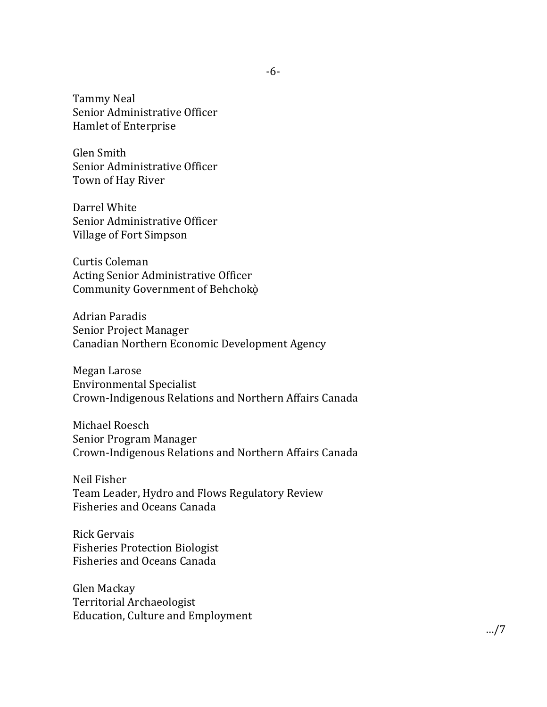Tammy Neal Senior Administrative Officer Hamlet of Enterprise

Glen Smith Senior Administrative Officer Town of Hay River

Darrel White Senior Administrative Officer Village of Fort Simpson

Curtis Coleman Acting Senior Administrative Officer Community Government of Behchokò

Adrian Paradis Senior Project Manager Canadian Northern Economic Development Agency

Megan Larose Environmental Specialist Crown-Indigenous Relations and Northern Affairs Canada

Michael Roesch Senior Program Manager Crown-Indigenous Relations and Northern Affairs Canada

Neil Fisher Team Leader, Hydro and Flows Regulatory Review Fisheries and Oceans Canada

Rick Gervais Fisheries Protection Biologist Fisheries and Oceans Canada

Glen Mackay Territorial Archaeologist Education, Culture and Employment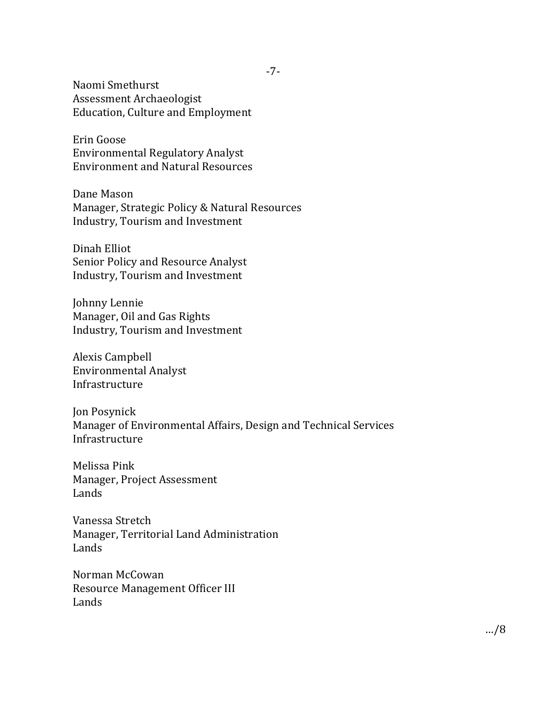Naomi Smethurst Assessment Archaeologist Education, Culture and Employment

Erin Goose Environmental Regulatory Analyst Environment and Natural Resources

Dane Mason Manager, Strategic Policy & Natural Resources Industry, Tourism and Investment

Dinah Elliot Senior Policy and Resource Analyst Industry, Tourism and Investment

Johnny Lennie Manager, Oil and Gas Rights Industry, Tourism and Investment

Alexis Campbell Environmental Analyst Infrastructure

Jon Posynick Manager of Environmental Affairs, Design and Technical Services Infrastructure

Melissa Pink Manager, Project Assessment Lands

Vanessa Stretch Manager, Territorial Land Administration Lands

Norman McCowan Resource Management Officer III Lands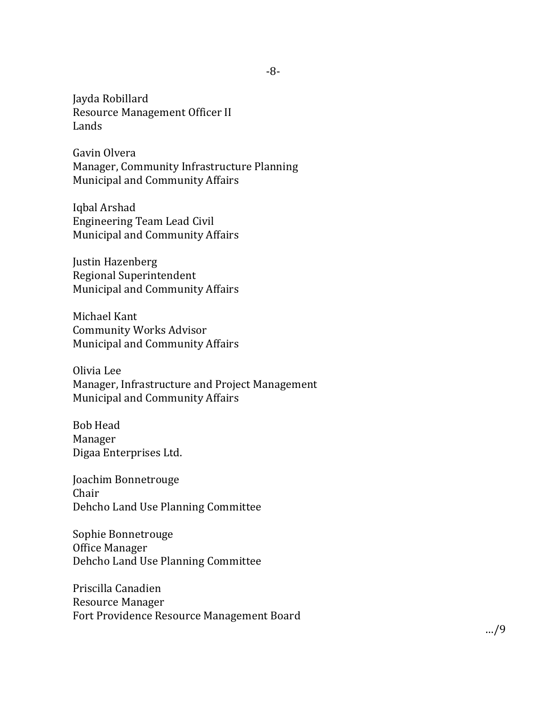Jayda Robillard Resource Management Officer II Lands

Gavin Olvera Manager, Community Infrastructure Planning Municipal and Community Affairs

Iqbal Arshad Engineering Team Lead Civil Municipal and Community Affairs

Justin Hazenberg Regional Superintendent Municipal and Community Affairs

Michael Kant Community Works Advisor Municipal and Community Affairs

Olivia Lee Manager, Infrastructure and Project Management Municipal and Community Affairs

Bob Head Manager Digaa Enterprises Ltd.

Joachim Bonnetrouge Chair Dehcho Land Use Planning Committee

Sophie Bonnetrouge Office Manager Dehcho Land Use Planning Committee

Priscilla Canadien Resource Manager Fort Providence Resource Management Board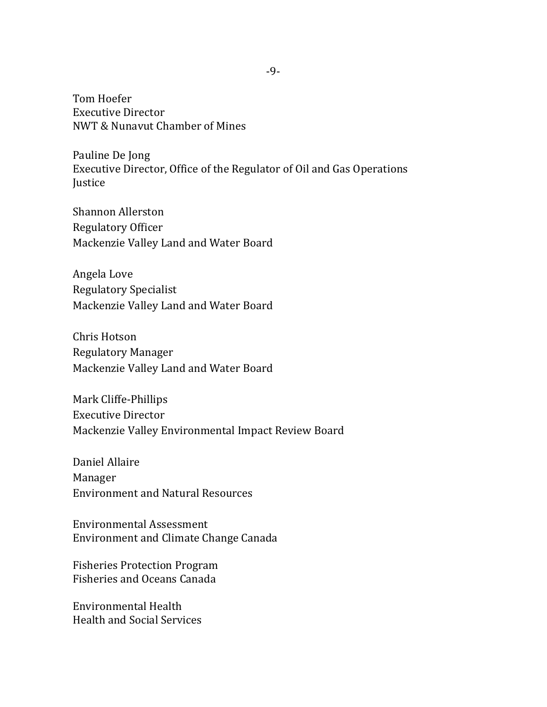Tom Hoefer Executive Director NWT & Nunavut Chamber of Mines

Pauline De Jong Executive Director, Office of the Regulator of Oil and Gas Operations **Justice** 

Shannon Allerston Regulatory Officer Mackenzie Valley Land and Water Board

Angela Love Regulatory Specialist Mackenzie Valley Land and Water Board

Chris Hotson Regulatory Manager Mackenzie Valley Land and Water Board

Mark Cliffe-Phillips Executive Director Mackenzie Valley Environmental Impact Review Board

Daniel Allaire Manager Environment and Natural Resources

Environmental Assessment Environment and Climate Change Canada

Fisheries Protection Program Fisheries and Oceans Canada

Environmental Health Health and Social Services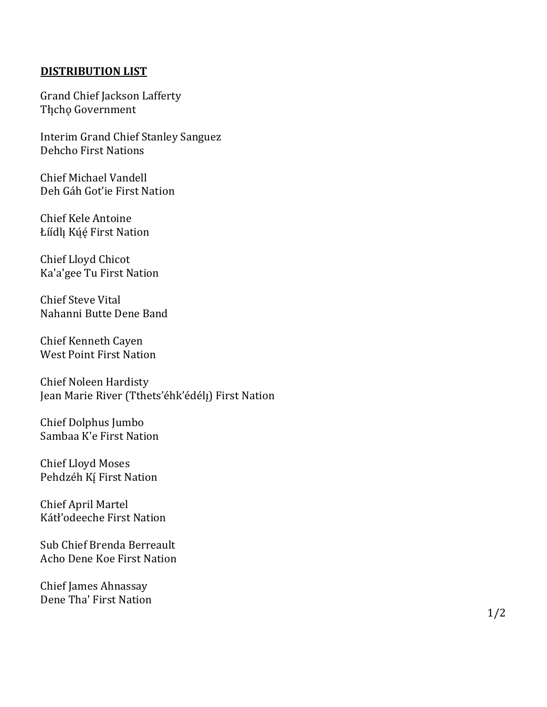## **DISTRIBUTION LIST**

Grand Chief Jackson Lafferty Tłįcho Government

Interim Grand Chief Stanley Sanguez Dehcho First Nations

Chief Michael Vandell Deh Gáh Got'ie First Nation

Chief Kele Antoine Łíídlı Kúé First Nation

Chief Lloyd Chicot Ka'a'gee Tu First Nation

Chief Steve Vital Nahanni Butte Dene Band

Chief Kenneth Cayen West Point First Nation

Chief Noleen Hardisty Jean Marie River (Tthets'éhk'édélı) First Nation

Chief Dolphus Jumbo Sambaa K'e First Nation

Chief Lloyd Moses Pehdzéh Kí First Nation

Chief April Martel Kátł'odeeche First Nation

Sub Chief Brenda Berreault Acho Dene Koe First Nation

Chief James Ahnassay Dene Tha' First Nation